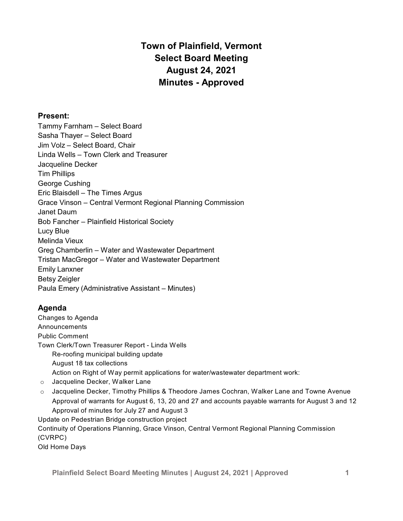# **Town of Plainfield, Vermont Select Board Meeting August 24, 2021 Minutes - Approved**

## **Present:**

Tammy Farnham – Select Board Sasha Thayer – Select Board Jim Volz – Select Board, Chair Linda Wells – Town Clerk and Treasurer Jacqueline Decker Tim Phillips George Cushing Eric Blaisdell – The Times Argus Grace Vinson – Central Vermont Regional Planning Commission Janet Daum Bob Fancher – Plainfield Historical Society Lucy Blue Melinda Vieux Greg Chamberlin – Water and Wastewater Department Tristan MacGregor – Water and Wastewater Department Emily Lanxner Betsy Zeigler Paula Emery (Administrative Assistant – Minutes)

# **Agenda**

Changes to Agenda **Announcements** Public Comment Town Clerk/Town Treasurer Report - Linda Wells Re-roofing municipal building update August 18 tax collections Action on Right of Way permit applications for water/wastewater department work: o Jacqueline Decker, Walker Lane

 $\circ$  Jacqueline Decker, Timothy Phillips & Theodore James Cochran, Walker Lane and Towne Avenue Approval of warrants for August 6, 13, 20 and 27 and accounts payable warrants for August 3 and 12 Approval of minutes for July 27 and August 3

Update on Pedestrian Bridge construction project Continuity of Operations Planning, Grace Vinson, Central Vermont Regional Planning Commission (CVRPC)

Old Home Days

**Plainfield Select Board Meeting Minutes | August 24, 2021 | Approved 1**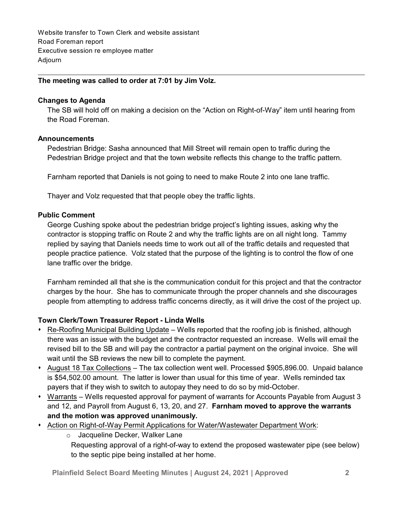Website transfer to Town Clerk and website assistant Road Foreman report Executive session re employee matter Adjourn

## **The meeting was called to order at 7:01 by Jim Volz.**

#### **Changes to Agenda**

The SB will hold off on making a decision on the "Action on Right-of-Way" item until hearing from the Road Foreman.

#### **Announcements**

Pedestrian Bridge: Sasha announced that Mill Street will remain open to traffic during the Pedestrian Bridge project and that the town website reflects this change to the traffic pattern.

Farnham reported that Daniels is not going to need to make Route 2 into one lane traffic.

Thayer and Volz requested that that people obey the traffic lights.

## **Public Comment**

George Cushing spoke about the pedestrian bridge project's lighting issues, asking why the contractor is stopping traffic on Route 2 and why the traffic lights are on all night long. Tammy replied by saying that Daniels needs time to work out all of the traffic details and requested that people practice patience. Volz stated that the purpose of the lighting is to control the flow of one lane traffic over the bridge.

Farnham reminded all that she is the communication conduit for this project and that the contractor charges by the hour. She has to communicate through the proper channels and she discourages people from attempting to address traffic concerns directly, as it will drive the cost of the project up.

## **Town Clerk/Town Treasurer Report - Linda Wells**

- $\bullet$  Re-Roofing Municipal Building Update Wells reported that the roofing job is finished, although there was an issue with the budget and the contractor requested an increase. Wells will email the revised bill to the SB and will pay the contractor a partial payment on the original invoice. She will wait until the SB reviews the new bill to complete the payment.
- \* August 18 Tax Collections The tax collection went well. Processed \$905,896.00. Unpaid balance is \$54,502.00 amount. The latter is lower than usual for this time of year. Wells reminded tax payers that if they wish to switch to autopay they need to do so by mid-October.
- Warrants Wells requested approval for payment of warrants for Accounts Payable from August 3 and 12, and Payroll from August 6, 13, 20, and 27. **Farnham moved to approve the warrants and the motion was approved unanimously.**
- \* Action on Right-of-Way Permit Applications for Water/Wastewater Department Work:

o Jacqueline Decker, Walker Lane

Requesting approval of a right-of-way to extend the proposed wastewater pipe (see below) to the septic pipe being installed at her home.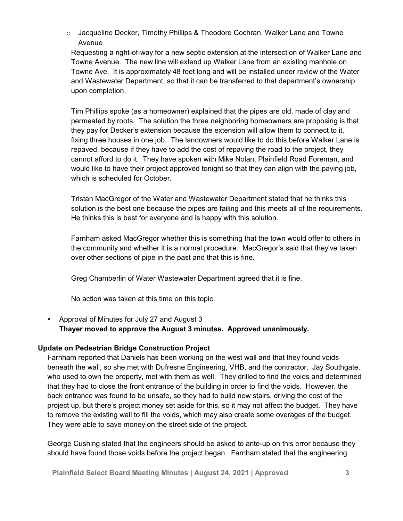o Jacqueline Decker, Timothy Phillips & Theodore Cochran, Walker Lane and Towne Avenue

Requesting a right-of-way for a new septic extension at the intersection of Walker Lane and Towne Avenue. The new line will extend up Walker Lane from an existing manhole on Towne Ave. It is approximately 48 feet long and will be installed under review of the Water and Wastewater Department, so that it can be transferred to that department's ownership upon completion.

Tim Phillips spoke (as a homeowner) explained that the pipes are old, made of clay and permeated by roots. The solution the three neighboring homeowners are proposing is that they pay for Decker's extension because the extension will allow them to connect to it, fixing three houses in one job. The landowners would like to do this before Walker Lane is repaved, because if they have to add the cost of repaving the road to the project, they cannot afford to do it. They have spoken with Mike Nolan, Plainfield Road Foreman, and would like to have their project approved tonight so that they can align with the paving job, which is scheduled for October.

Tristan MacGregor of the Water and Wastewater Department stated that he thinks this solution is the best one because the pipes are failing and this meets all of the requirements. He thinks this is best for everyone and is happy with this solution.

Farnham asked MacGregor whether this is something that the town would offer to others in the community and whether it is a normal procedure. MacGregor's said that they've taken over other sections of pipe in the past and that this is fine.

Greg Chamberlin of Water Wastewater Department agreed that it is fine.

No action was taken at this time on this topic.

• Approval of Minutes for July 27 and August 3 **Thayer moved to approve the August 3 minutes. Approved unanimously.**

## **Update on Pedestrian Bridge Construction Project**

Farnham reported that Daniels has been working on the west wall and that they found voids beneath the wall, so she met with Dufresne Engineering, VHB, and the contractor. Jay Southgate, who used to own the property, met with them as well. They drilled to find the voids and determined that they had to close the front entrance of the building in order to find the voids. However, the back entrance was found to be unsafe, so they had to build new stairs, driving the cost of the project up, but there's project money set aside for this, so it may not affect the budget. They have to remove the existing wall to fill the voids, which may also create some overages of the budget. They were able to save money on the street side of the project.

George Cushing stated that the engineers should be asked to ante-up on this error because they should have found those voids before the project began. Farnham stated that the engineering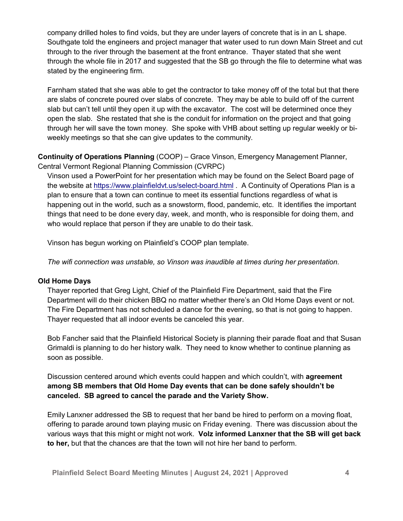company drilled holes to find voids, but they are under layers of concrete that is in an L shape. Southgate told the engineers and project manager that water used to run down Main Street and cut through to the river through the basement at the front entrance. Thayer stated that she went through the whole file in 2017 and suggested that the SB go through the file to determine what was stated by the engineering firm.

Farnham stated that she was able to get the contractor to take money off of the total but that there are slabs of concrete poured over slabs of concrete. They may be able to build off of the current slab but can't tell until they open it up with the excavator. The cost will be determined once they open the slab. She restated that she is the conduit for information on the project and that going through her will save the town money. She spoke with VHB about setting up regular weekly or biweekly meetings so that she can give updates to the community.

**Continuity of Operations Planning** (COOP) – Grace Vinson, Emergency Management Planner, Central Vermont Regional Planning Commission (CVRPC)

Vinson used a PowerPoint for her presentation which may be found on the Select Board page of the website at <https://www.plainfieldvt.us/select-board.html> . A Continuity of Operations Plan is a plan to ensure that a town can continue to meet its essential functions regardless of what is happening out in the world, such as a snowstorm, flood, pandemic, etc. It identifies the important things that need to be done every day, week, and month, who is responsible for doing them, and who would replace that person if they are unable to do their task.

Vinson has begun working on Plainfield's COOP plan template.

*The wifi connection was unstable, so Vinson was inaudible at times during her presentation.*

## **Old Home Days**

Thayer reported that Greg Light, Chief of the Plainfield Fire Department, said that the Fire Department will do their chicken BBQ no matter whether there's an Old Home Days event or not. The Fire Department has not scheduled a dance for the evening, so that is not going to happen. Thayer requested that all indoor events be canceled this year.

Bob Fancher said that the Plainfield Historical Society is planning their parade float and that Susan Grimaldi is planning to do her history walk. They need to know whether to continue planning as soon as possible.

Discussion centered around which events could happen and which couldn't, with **agreement among SB members that Old Home Day events that can be done safely shouldn't be canceled. SB agreed to cancel the parade and the Variety Show.**

Emily Lanxner addressed the SB to request that her band be hired to perform on a moving float, offering to parade around town playing music on Friday evening. There was discussion about the various ways that this might or might not work. **Volz informed Lanxner that the SB will get back to her,** but that the chances are that the town will not hire her band to perform.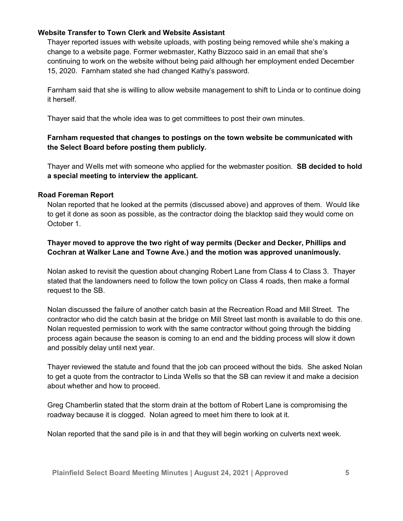## **Website Transfer to Town Clerk and Website Assistant**

Thayer reported issues with website uploads, with posting being removed while she's making a change to a website page. Former webmaster, Kathy Bizzoco said in an email that she's continuing to work on the website without being paid although her employment ended December 15, 2020. Farnham stated she had changed Kathy's password.

Farnham said that she is willing to allow website management to shift to Linda or to continue doing it herself.

Thayer said that the whole idea was to get committees to post their own minutes.

## **Farnham requested that changes to postings on the town website be communicated with the Select Board before posting them publicly.**

Thayer and Wells met with someone who applied for the webmaster position. **SB decided to hold a special meeting to interview the applicant.**

## **Road Foreman Report**

Nolan reported that he looked at the permits (discussed above) and approves of them. Would like to get it done as soon as possible, as the contractor doing the blacktop said they would come on October 1.

## **Thayer moved to approve the two right of way permits (Decker and Decker, Phillips and Cochran at Walker Lane and Towne Ave.) and the motion was approved unanimously.**

Nolan asked to revisit the question about changing Robert Lane from Class 4 to Class 3. Thayer stated that the landowners need to follow the town policy on Class 4 roads, then make a formal request to the SB.

Nolan discussed the failure of another catch basin at the Recreation Road and Mill Street. The contractor who did the catch basin at the bridge on Mill Street last month is available to do this one. Nolan requested permission to work with the same contractor without going through the bidding process again because the season is coming to an end and the bidding process will slow it down and possibly delay until next year.

Thayer reviewed the statute and found that the job can proceed without the bids. She asked Nolan to get a quote from the contractor to Linda Wells so that the SB can review it and make a decision about whether and how to proceed.

Greg Chamberlin stated that the storm drain at the bottom of Robert Lane is compromising the roadway because it is clogged. Nolan agreed to meet him there to look at it.

Nolan reported that the sand pile is in and that they will begin working on culverts next week.